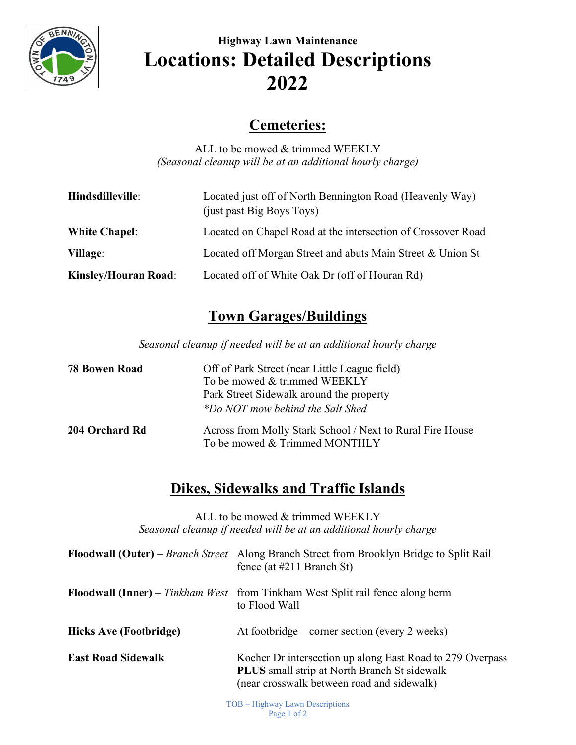

# **Highway Lawn Maintenance Locations: Detailed Descriptions 2022**

#### **Cemeteries:**

ALL to be mowed & trimmed WEEKLY *(Seasonal cleanup will be at an additional hourly charge)*

| Hindsdilleville:            | Located just off of North Bennington Road (Heavenly Way)<br>(just past Big Boys Toys) |
|-----------------------------|---------------------------------------------------------------------------------------|
| <b>White Chapel:</b>        | Located on Chapel Road at the intersection of Crossover Road                          |
| <b>Village:</b>             | Located off Morgan Street and abuts Main Street & Union St                            |
| <b>Kinsley/Houran Road:</b> | Located off of White Oak Dr (off of Houran Rd)                                        |

## **Town Garages/Buildings**

*Seasonal cleanup if needed will be at an additional hourly charge*

| <b>78 Bowen Road</b> | Off of Park Street (near Little League field)<br>To be mowed & trimmed WEEKLY<br>Park Street Sidewalk around the property<br>*Do NOT mow behind the Salt Shed |
|----------------------|---------------------------------------------------------------------------------------------------------------------------------------------------------------|
| 204 Orchard Rd       | Across from Molly Stark School / Next to Rural Fire House<br>To be mowed & Trimmed MONTHLY                                                                    |

#### **Dikes, Sidewalks and Traffic Islands**

ALL to be mowed & trimmed WEEKLY *Seasonal cleanup if needed will be at an additional hourly charge*

|                               | Floodwall (Outer) – Branch Street Along Branch Street from Brooklyn Bridge to Split Rail<br>fence (at $\#211$ Branch St)                                       |
|-------------------------------|----------------------------------------------------------------------------------------------------------------------------------------------------------------|
|                               | <b>Floodwall (Inner)</b> – Tinkham West from Tinkham West Split rail fence along berm<br>to Flood Wall                                                         |
| <b>Hicks Ave (Footbridge)</b> | At footbridge – corner section (every 2 weeks)                                                                                                                 |
| <b>East Road Sidewalk</b>     | Kocher Dr intersection up along East Road to 279 Overpass<br><b>PLUS</b> small strip at North Branch St sidewalk<br>(near crosswalk between road and sidewalk) |